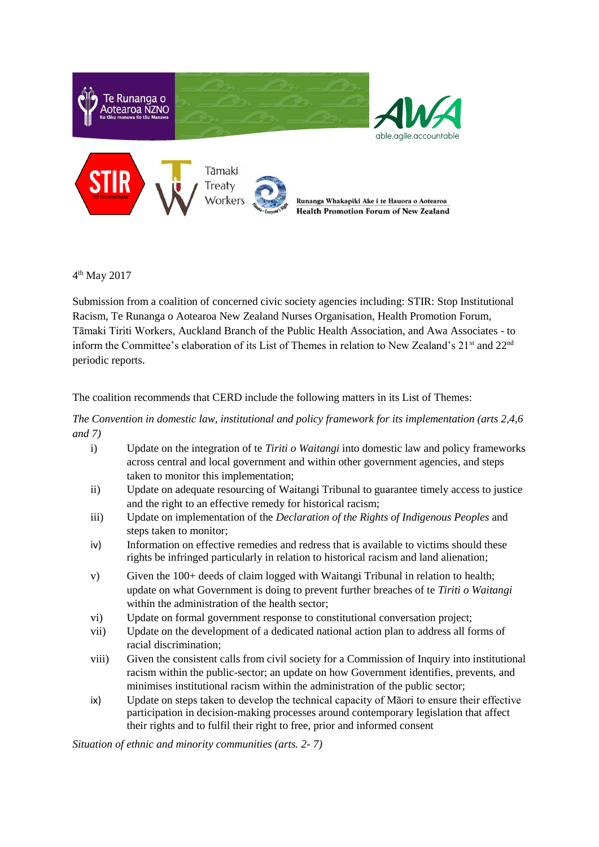

4 th May 2017

Submission from a coalition of concerned civic society agencies including: STIR: Stop Institutional Racism, Te Runanga o Aotearoa New Zealand Nurses Organisation, Health Promotion Forum, Tāmaki Tiriti Workers, Auckland Branch of the Public Health Association, and Awa Associates - to inform the Committee's elaboration of its List of Themes in relation to New Zealand's  $21<sup>st</sup>$  and  $22<sup>nd</sup>$ periodic reports.

The coalition recommends that CERD include the following matters in its List of Themes:

*The Convention in domestic law, institutional and policy framework for its implementation (arts 2,4,6 and 7)*

- i) Update on the integration of te *Tiriti o Waitangi* into domestic law and policy frameworks across central and local government and within other government agencies, and steps taken to monitor this implementation;
- ii) Update on adequate resourcing of Waitangi Tribunal to guarantee timely access to justice and the right to an effective remedy for historical racism;
- iii) Update on implementation of the *Declaration of the Rights of Indigenous Peoples* and steps taken to monitor;
- iv) Information on effective remedies and redress that is available to victims should these rights be infringed particularly in relation to historical racism and land alienation;
- v) Given the 100+ deeds of claim logged with Waitangi Tribunal in relation to health; update on what Government is doing to prevent further breaches of te *Tiriti o Waitangi* within the administration of the health sector;
- vi) Update on formal government response to constitutional conversation project;
- vii) Update on the development of a dedicated national action plan to address all forms of racial discrimination;
- viii) Given the consistent calls from civil society for a Commission of Inquiry into institutional racism within the public-sector; an update on how Government identifies, prevents, and minimises institutional racism within the administration of the public sector;
- ix) Update on steps taken to develop the technical capacity of Māori to ensure their effective participation in decision-making processes around contemporary legislation that affect their rights and to fulfil their right to free, prior and informed consent

*Situation of ethnic and minority communities (arts. 2- 7)*